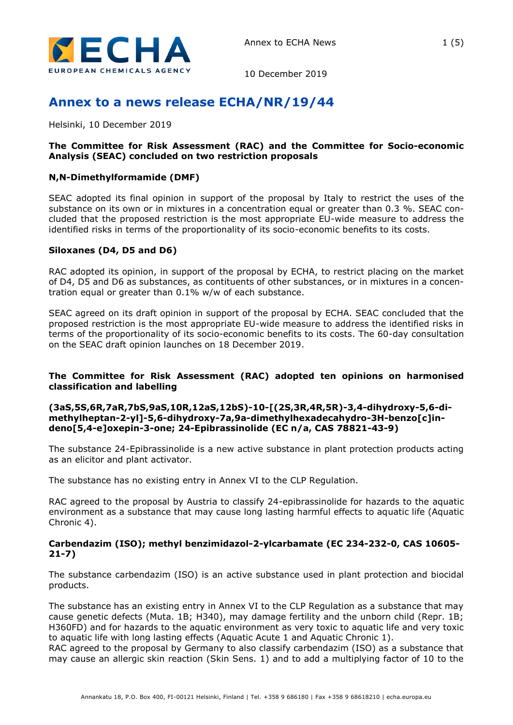

10 December 2019

# **Annex to a news release ECHA/NR/19/44**

Helsinki, 10 December 2019

#### **The Committee for Risk Assessment (RAC) and the Committee for Socio-economic Analysis (SEAC) concluded on two restriction proposals**

#### **N,N-Dimethylformamide (DMF)**

SEAC adopted its final opinion in support of the proposal by Italy to restrict the uses of the substance on its own or in mixtures in a concentration equal or greater than 0.3 %. SEAC concluded that the proposed restriction is the most appropriate EU-wide measure to address the identified risks in terms of the proportionality of its socio-economic benefits to its costs.

#### **Siloxanes (D4, D5 and D6)**

RAC adopted its opinion, in support of the proposal by ECHA, to restrict placing on the market of D4, D5 and D6 as substances, as contituents of other substances, or in mixtures in a concentration equal or greater than 0.1% w/w of each substance.

SEAC agreed on its draft opinion in support of the proposal by ECHA. SEAC concluded that the proposed restriction is the most appropriate EU-wide measure to address the identified risks in terms of the proportionality of its socio-economic benefits to its costs. The 60-day consultation on the SEAC draft opinion launches on 18 December 2019.

## **The Committee for Risk Assessment (RAC) adopted ten opinions on harmonised classification and labelling**

#### **(3aS,5S,6R,7aR,7bS,9aS,10R,12aS,12bS)-10-[(2S,3R,4R,5R)-3,4-dihydroxy-5,6-dimethylheptan-2-yl]-5,6-dihydroxy-7a,9a-dimethylhexadecahydro-3H-benzo[c]indeno[5,4-e]oxepin-3-one; 24-Epibrassinolide (EC n/a, CAS 78821-43-9)**

The substance 24-Epibrassinolide is a new active substance in plant protection products acting as an elicitor and plant activator.

The substance has no existing entry in Annex VI to the CLP Regulation.

RAC agreed to the proposal by Austria to classify 24-epibrassinolide for hazards to the aquatic environment as a substance that may cause long lasting harmful effects to aquatic life (Aquatic Chronic 4).

#### **Carbendazim (ISO); methyl benzimidazol-2-ylcarbamate (EC 234-232-0, CAS 10605- 21-7)**

The substance carbendazim (ISO) is an active substance used in plant protection and biocidal products.

The substance has an existing entry in Annex VI to the CLP Regulation as a substance that may cause genetic defects (Muta. 1B; H340), may damage fertility and the unborn child (Repr. 1B; H360FD) and for hazards to the aquatic environment as very toxic to aquatic life and very toxic to aquatic life with long lasting effects (Aquatic Acute 1 and Aquatic Chronic 1).

RAC agreed to the proposal by Germany to also classify carbendazim (ISO) as a substance that may cause an allergic skin reaction (Skin Sens. 1) and to add a multiplying factor of 10 to the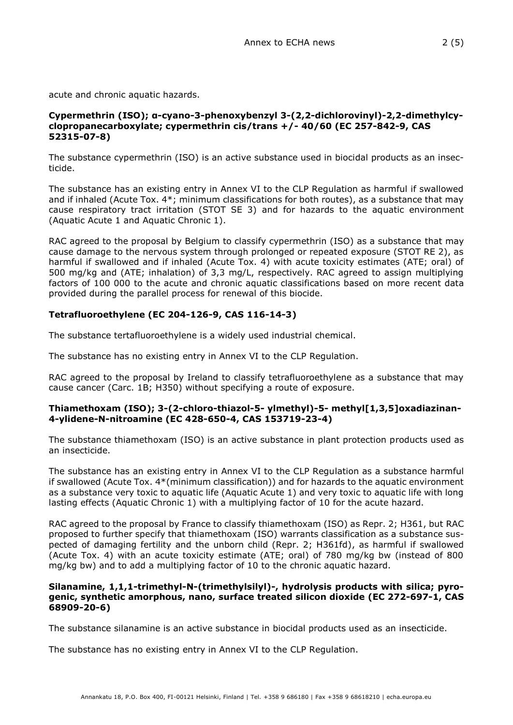acute and chronic aquatic hazards.

#### **Cypermethrin (ISO); α-cyano-3-phenoxybenzyl 3-(2,2-dichlorovinyl)-2,2-dimethylcyclopropanecarboxylate; cypermethrin cis/trans +/- 40/60 (EC 257-842-9, CAS 52315-07-8)**

The substance cypermethrin (ISO) is an active substance used in biocidal products as an insecticide.

The substance has an existing entry in Annex VI to the CLP Regulation as harmful if swallowed and if inhaled (Acute Tox. 4\*; minimum classifications for both routes), as a substance that may cause respiratory tract irritation (STOT SE 3) and for hazards to the aquatic environment (Aquatic Acute 1 and Aquatic Chronic 1).

RAC agreed to the proposal by Belgium to classify cypermethrin (ISO) as a substance that may cause damage to the nervous system through prolonged or repeated exposure (STOT RE 2), as harmful if swallowed and if inhaled (Acute Tox. 4) with acute toxicity estimates (ATE; oral) of 500 mg/kg and (ATE; inhalation) of 3,3 mg/L, respectively. RAC agreed to assign multiplying factors of 100 000 to the acute and chronic aquatic classifications based on more recent data provided during the parallel process for renewal of this biocide.

# **Tetrafluoroethylene (EC 204-126-9, CAS 116-14-3)**

The substance tertafluoroethylene is a widely used industrial chemical.

The substance has no existing entry in Annex VI to the CLP Regulation.

RAC agreed to the proposal by Ireland to classify tetrafluoroethylene as a substance that may cause cancer (Carc. 1B; H350) without specifying a route of exposure.

## **Thiamethoxam (ISO); 3-(2-chloro-thiazol-5- ylmethyl)-5- methyl[1,3,5]oxadiazinan-4-ylidene-N-nitroamine (EC 428-650-4, CAS 153719-23-4)**

The substance thiamethoxam (ISO) is an active substance in plant protection products used as an insecticide.

The substance has an existing entry in Annex VI to the CLP Regulation as a substance harmful if swallowed (Acute Tox. 4\*(minimum classification)) and for hazards to the aquatic environment as a substance very toxic to aquatic life (Aquatic Acute 1) and very toxic to aquatic life with long lasting effects (Aquatic Chronic 1) with a multiplying factor of 10 for the acute hazard.

RAC agreed to the proposal by France to classify thiamethoxam (ISO) as Repr. 2; H361, but RAC proposed to further specify that thiamethoxam (ISO) warrants classification as a substance suspected of damaging fertility and the unborn child (Repr. 2; H361fd), as harmful if swallowed (Acute Tox. 4) with an acute toxicity estimate (ATE; oral) of 780 mg/kg bw (instead of 800 mg/kg bw) and to add a multiplying factor of 10 to the chronic aquatic hazard.

#### **Silanamine, 1,1,1-trimethyl-N-(trimethylsilyl)-, hydrolysis products with silica; pyrogenic, synthetic amorphous, nano, surface treated silicon dioxide (EC 272-697-1, CAS 68909-20-6)**

The substance silanamine is an active substance in biocidal products used as an insecticide.

The substance has no existing entry in Annex VI to the CLP Regulation.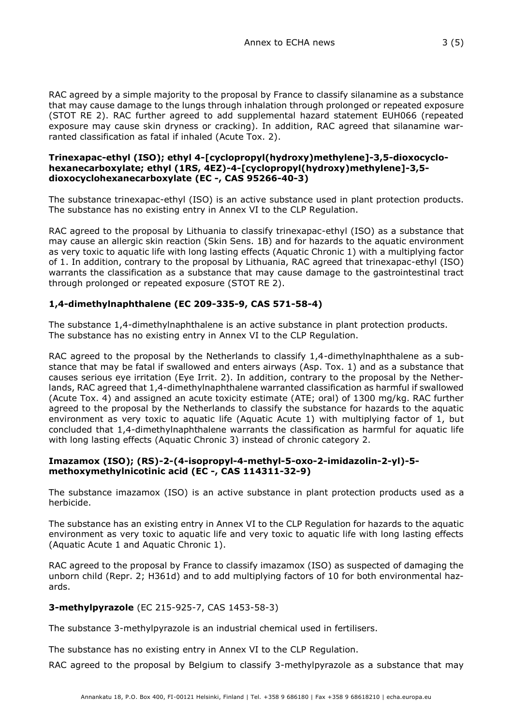RAC agreed by a simple majority to the proposal by France to classify silanamine as a substance that may cause damage to the lungs through inhalation through prolonged or repeated exposure (STOT RE 2). RAC further agreed to add supplemental hazard statement EUH066 (repeated exposure may cause skin dryness or cracking). In addition, RAC agreed that silanamine warranted classification as fatal if inhaled (Acute Tox. 2).

#### **Trinexapac-ethyl (ISO); ethyl 4-[cyclopropyl(hydroxy)methylene]-3,5-dioxocyclohexanecarboxylate; ethyl (1RS, 4EZ)-4-[cyclopropyl(hydroxy)methylene]-3,5 dioxocyclohexanecarboxylate (EC -, CAS 95266-40-3)**

The substance trinexapac-ethyl (ISO) is an active substance used in plant protection products. The substance has no existing entry in Annex VI to the CLP Regulation.

RAC agreed to the proposal by Lithuania to classify trinexapac-ethyl (ISO) as a substance that may cause an allergic skin reaction (Skin Sens. 1B) and for hazards to the aquatic environment as very toxic to aquatic life with long lasting effects (Aquatic Chronic 1) with a multiplying factor of 1. In addition, contrary to the proposal by Lithuania, RAC agreed that trinexapac-ethyl (ISO) warrants the classification as a substance that may cause damage to the gastrointestinal tract through prolonged or repeated exposure (STOT RE 2).

# **1,4-dimethylnaphthalene (EC 209-335-9, CAS 571-58-4)**

The substance 1,4-dimethylnaphthalene is an active substance in plant protection products. The substance has no existing entry in Annex VI to the CLP Regulation.

RAC agreed to the proposal by the Netherlands to classify 1,4-dimethylnaphthalene as a substance that may be fatal if swallowed and enters airways (Asp. Tox. 1) and as a substance that causes serious eye irritation (Eye Irrit. 2). In addition, contrary to the proposal by the Netherlands, RAC agreed that 1,4-dimethylnaphthalene warranted classification as harmful if swallowed (Acute Tox. 4) and assigned an acute toxicity estimate (ATE; oral) of 1300 mg/kg. RAC further agreed to the proposal by the Netherlands to classify the substance for hazards to the aquatic environment as very toxic to aquatic life (Aquatic Acute 1) with multiplying factor of 1, but concluded that 1,4-dimethylnaphthalene warrants the classification as harmful for aquatic life with long lasting effects (Aquatic Chronic 3) instead of chronic category 2.

## **Imazamox (ISO); (RS)-2-(4-isopropyl-4-methyl-5-oxo-2-imidazolin-2-yl)-5 methoxymethylnicotinic acid (EC -, CAS 114311-32-9)**

The substance imazamox (ISO) is an active substance in plant protection products used as a herbicide.

The substance has an existing entry in Annex VI to the CLP Regulation for hazards to the aquatic environment as very toxic to aquatic life and very toxic to aquatic life with long lasting effects (Aquatic Acute 1 and Aquatic Chronic 1).

RAC agreed to the proposal by France to classify imazamox (ISO) as suspected of damaging the unborn child (Repr. 2; H361d) and to add multiplying factors of 10 for both environmental hazards.

## **3-methylpyrazole** (EC 215-925-7, CAS 1453-58-3)

The substance 3-methylpyrazole is an industrial chemical used in fertilisers.

The substance has no existing entry in Annex VI to the CLP Regulation.

RAC agreed to the proposal by Belgium to classify 3-methylpyrazole as a substance that may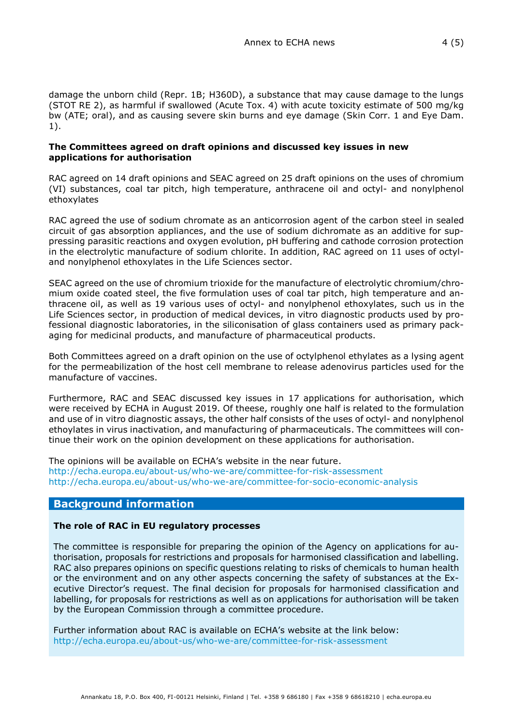damage the unborn child (Repr. 1B; H360D), a substance that may cause damage to the lungs (STOT RE 2), as harmful if swallowed (Acute Tox. 4) with acute toxicity estimate of 500 mg/kg bw (ATE; oral), and as causing severe skin burns and eye damage (Skin Corr. 1 and Eye Dam. 1).

#### **The Committees agreed on draft opinions and discussed key issues in new applications for authorisation**

RAC agreed on 14 draft opinions and SEAC agreed on 25 draft opinions on the uses of chromium (VI) substances, coal tar pitch, high temperature, anthracene oil and octyl- and nonylphenol ethoxylates

RAC agreed the use of sodium chromate as an anticorrosion agent of the carbon steel in sealed circuit of gas absorption appliances, and the use of sodium dichromate as an additive for suppressing parasitic reactions and oxygen evolution, pH buffering and cathode corrosion protection in the electrolytic manufacture of sodium chlorite. In addition, RAC agreed on 11 uses of octyland nonylphenol ethoxylates in the Life Sciences sector.

SEAC agreed on the use of chromium trioxide for the manufacture of electrolytic chromium/chromium oxide coated steel, the five formulation uses of coal tar pitch, high temperature and anthracene oil, as well as 19 various uses of octyl- and nonylphenol ethoxylates, such us in the Life Sciences sector, in production of medical devices, in vitro diagnostic products used by professional diagnostic laboratories, in the siliconisation of glass containers used as primary packaging for medicinal products, and manufacture of pharmaceutical products.

Both Committees agreed on a draft opinion on the use of octylphenol ethylates as a lysing agent for the permeabilization of the host cell membrane to release adenovirus particles used for the manufacture of vaccines.

Furthermore, RAC and SEAC discussed key issues in 17 applications for authorisation, which were received by ECHA in August 2019. Of theese, roughly one half is related to the formulation and use of in vitro diagnostic assays, the other half consists of the uses of octyl- and nonylphenol ethoylates in virus inactivation, and manufacturing of pharmaceuticals. The committees will continue their work on the opinion development on these applications for authorisation.

The opinions will be available on ECHA's website in the near future. <http://echa.europa.eu/about-us/who-we-are/committee-for-risk-assessment> <http://echa.europa.eu/about-us/who-we-are/committee-for-socio-economic-analysis>

## **Background information**

#### **The role of RAC in EU regulatory processes**

The committee is responsible for preparing the opinion of the Agency on applications for authorisation, proposals for restrictions and proposals for harmonised classification and labelling. RAC also prepares opinions on specific questions relating to risks of chemicals to human health or the environment and on any other aspects concerning the safety of substances at the Executive Director's request. The final decision for proposals for harmonised classification and labelling, for proposals for restrictions as well as on applications for authorisation will be taken by the European Commission through a committee procedure.

Further information about RAC is available on ECHA's website at the link below: <http://echa.europa.eu/about-us/who-we-are/committee-for-risk-assessment>